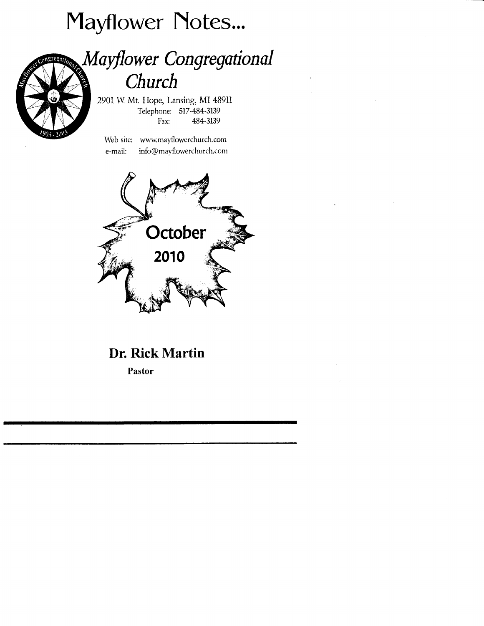# Mayflower NoteS...



# Mayflower Congregational Church

2901 W. Mt. Hope, Lansing, MI 48911 Telephone: 517-484-3139 Fax: 484-3L39

Web site; www.mayflowerchurch.com e-mail: info@mayflowerchurch.com



## Dr. Rick Martin

Pastor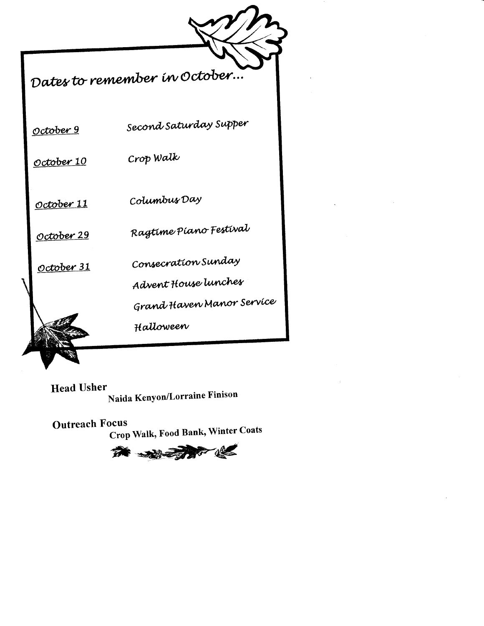Dates to remember in October...

October 9

Second Saturday Supper

October 10

Crop Walk

October 11

October 29

October 31

Columbus Day

Ragtime Piano Festival

Consecration Sunday

Advent House lunches

Grand Haven Manor Service

Halloween

**Head Usher** Naida Kenyon/Lorraine Finison

**Outreach Focus** Crop Walk, Food Bank, Winter Coats

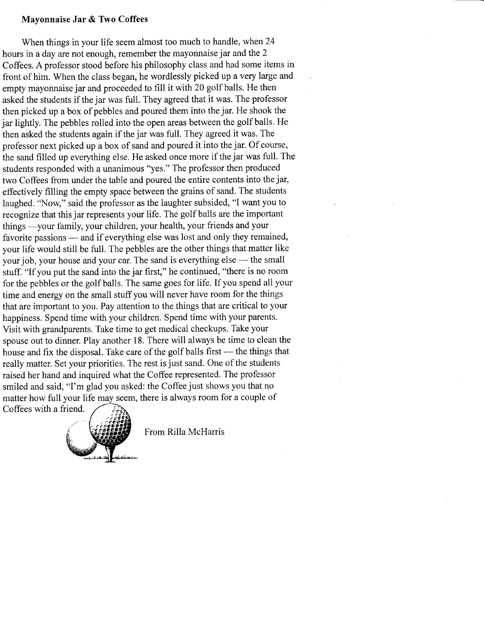### Mayonnaise Jar & Two Coffees

When things in your life seem almost too much to handle, when 24 hours in a day are not enough, remember the mayonnaise jar and the 2 Coffees. A professor stood before his philosophy class and had some items in front of him. When the class began, he wordlessly picked up a very large and empty mayonnaise jar and proceeded to fill it with 20 golf balls. He then asked the students if the jar was full. They agreed that it was. The professor then picked up a box of pebbles and poured them into the jar. He shook the jar lightly. The pebbles rolled into the open areas between the golf balls. He then asked the students again if the jar was full. They agreed it was. The professor next picked up a box of sand and poured it into the jar. Of course, the sand filled up everything else. He asked once more if the jar was full. The students responded with a unanimous "yes," The professor then produced two Coffees from under the table and poured the entire contents into the jar, effectively filling the empty space between the grains of sand. The students laughed. "Now," said the professor as the laughter subsided, "I want you to recognize that this jar represents your life. The golf balls are the important things —your family, your children, your health, your friends and your things your ranny, your emitted, your health, your friends and your ravorite passions — and it everywing else was lost and only they remained,<br>your life would still be full. The pebbles are the other things that matter like your job, your house and your car. The sand is everything else — the small your job, your nouse and your car. The sand is everything eise — the sinal<br>stuff. "If you put the sand into the jar first," he continued, "there is no room for the pebbles or the golf balls. The same goes for life. If you spend all your time and energy on the small stuff you will never have room for the things that are important to you. Pay attention to the things that are critical to your happiness. Spend time with your children. Spend time with your parents. Visit with grandparents. Take time to get medical checkups, Take your spouse out to dinner. Play another 18. There will always be time to clean the house and fix the disposal. Take care of the golf balls first — the things that house and rix the disposal. Take care of the golf bails first — the things to<br>really matter. Set your priorities. The rest is just sand. One of the students raised her hand and inquired what the Coffee represented. The professor smiled and said, "I'm glad you asked: the Coffee just shows you that no matter how full your life may seem, there is always room for a couple of Coffees with a friend.



From Rilla McHarris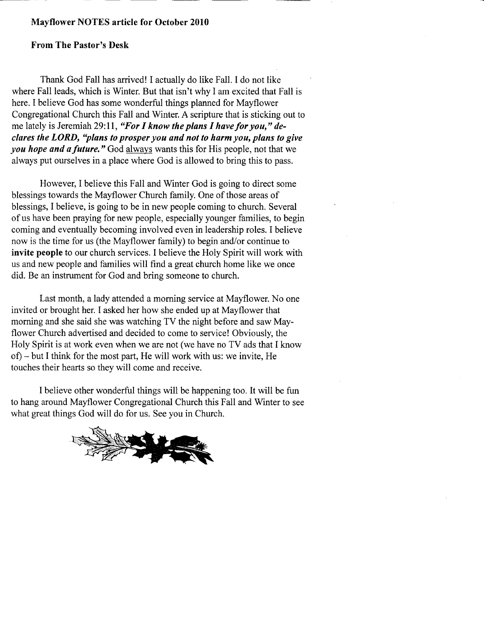### Mayflower NOTES article for October 2010

### From The Pastor's Desk

Thank God Fall has arrived! I actually do like Fall. I do not like where Fall leads, which is Winter. But that isn't why I am excited that Fall is here. I believe God has some wonderful things planned for Mayflower Congregational Church this Fall and Winter. A scripture that is sticking out to me lately is Jeremiah 29:11, "For I know the plans I have for you," declares the LORD, "plans to prosper you and not to harm you, plans to give you hope and a future." God always wants this for His people, not that we always put ourselves in a place where God is allowed to bring this to pass.

However, I believe this Fall and Winter God is going to direct some blessings towards the Mayflower Church family. One of those areas of blessings, I believe, is going to be in new people coming to church. Several of us have been praying for new people, especially younger families, to begin coming and eventually becoming involved even in leadership roles. I believe now is the time for us (the Mayflower family) to begin and/or continue to invite people to our church services. I believe the Holy Spirit will work with us and new people and families will find a great church home like we once did. Be an instrument for God and bring someone to church.

Last month, a lady attended a moming service at Mayflower. No one invited or brought her. I asked her how she ended up at Mayflower that morning and she said she was watching TV the night before and saw Mayflower Church advertised and decided to come to service! Obviously, the Holy Spirit is at work even when we are not (we have no TV ads that I know of) - but I think for the most part, He will work with us: we invite, He touches their hearts so they will come and receive.

I believe other wonderful things will be happening too. It will be fun to hang around Mayflower Congregational Church this Fall and Winter to see what great things God will do for us. See you in Church.

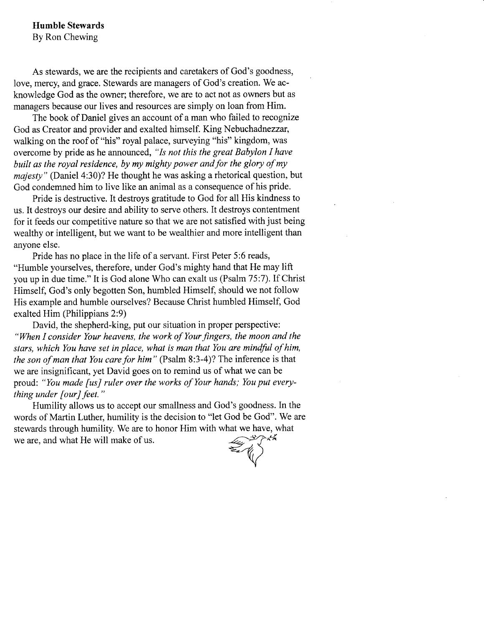Humble Stewards By Ron Chewing

As stewards, we are the recipients and caretakers of God's goodness, love, mercy, and grace. Stewards are managers of God's creation. We acknowledge God as the owner; therefore, we are to act not as owners but as managers because our lives and resources are simply on loan from Him.

The book of Daniel gives an account of a man who failed to recognize God as Creator and provider and exalted himself. King Nebuchadnezzar, walking on the roof of "his" royal palace, surveying "his" kingdom, was overcome by pride as he announced, "Is not this the great Babylon I have built as the royal residence, by my mighty power and for the glory of my majesty" (Daniel 4:30)? He thought he was asking a rhetorical question, but God condemned him to live like an animal as a consequence of his pride.

Pride is destructive. It destroys gratitude to God for all His kindness to us. It destroys our desire and ability to serve others. It destroys contentment for it feeds our competitive nature so that we are not satisfied with just being wealthy or intelligent, but we want to be wealthier and more intelligent than anyone else.

Pride has no place in the life of a servant. First Peter 5:6 reads, "Humble yourselves, therefore, under God's mighty hand that He may lift you up in due time." It is God alone Who can exalt us (Psalm 75:7). If Christ Himself, God's only begotten Son, humbled Himself, should we not follow His example and humble ourselves? Because Christ humbled Himself, God exalted Him (Philippians 2:9)

David, the shepherd-king, put our situation in proper perspective: "When I consider Your heavens, the work of Your fingers, the moon and the stars, which You have set in place, what is man that You are mindful of him, the son of man that You care for him" (Psalm 8:3-4)? The inference is that we are insignificant, yet David goes on to remind us of what we can be proud: "You made [us] ruler over the works of Your hands; You put everything under [our] feet."

Humility allows us to accept our smallness and God's goodness. In the words of Martin Luther, humility is the decision to "let God be God". We are stewards through humility. We are to honor Him with what we have, what we are, and what He will make of us.

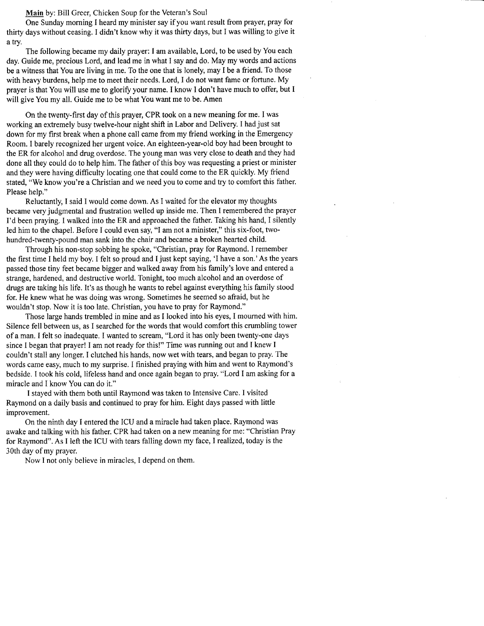Main by: Bill Greer, Chicken Soup for the Veteran's Soul

One Sunday morning I heard my minister say if you want result from prayer, pray for thirty days without ceasing. I didn't know why it was thirty days, but I was willing to give it a try.

The following became my daily prayer: I am available, Lord, to be used by You each day. Guide me, precious Lord, and lead me in what I say and do. May my words and actions be a witness that You are living in me. To the one that is lonely, may I be a friend. To those with heavy burdens, help me to meet their needs. Lord, I do not want fame or fortune. My prayer is that You will use me to glorify your name. I know I don't have much to offer, but I will give You my all. Guide me to be what You want me to be. Amen

On the twenty-frst day of this prayer, CPR took on a new meaning for me. I was working an extremely busy twelve-hour night shift in Labor and Delivery. I had just sat down for my first break when a phone call came from my friend working in the Emergency Room. I barely recognized her urgent voice. An eighteen-year-old boy had been brought to the ER for alcohol and drug overdose. The young man was very close to death and they had done all they could do to help him, The father of this boy was requesting a priest or minister and they were having difficulty locating one that could come to the ER quickly. My friend stated, "We know you're a Christian and we need you to come and try to comfort this father. Please help."

Reluctantly, I said I would come down. As I waited for the elevator my thoughts became very judgmental and frustration welled up inside me, Then I remembered the prayer I'd been praying. I walked into the ER and approached the father. Taking his hand, I silently led him to the chapel. Before I could even say, "I am not a minister," this six-foot, twohundred-twenty-pound man sank into the chair and became a broken hearted child.

Through his non-stop sobbing he spoke, "Christian, pray for Raymond. I remember the first time I held my boy. I felt so proud and I just kept saying, 'I have a son.'As the years passed those tiny feet became bigger and walked away from his family's love and entered a strange, hardened, and destructive world. Tonight, too much alcohol and an overdose of drugs are taking his life. It's as though he wants to rebel against everything his family stood for. He knew what he was doing was \ryrong. Sometimes he seemed so afraid, but he wouldn't stop. Now it is too late. Christian, you have to pray for Raymond."

Those large hands trembled in mine and as I looked into his eyes, I mourned with him. Silence fell between us, as I searched for the words that would comfort this crumbling tower of a man. I felt so inadequate. I wanted to scream, "Lord it has only been twenty-one days since I began that prayer! I am not ready for this!" Time was running out and I knew I couldn't stall any longer. I clutched his hands, now wet with tears, and began to pray. The words came easy, much to my surprise. I finished praying with him and went to Raymond's bedside. I took his cold, lifeless hand and once again began to pray. "Lord I am asking for a miracle and I know You can do it."

I stayed with them both until Rayrnond was taken to Intensive Care. I visited Raymond on a daily basis and continued to pray for him. Eight days passed with little improvement.

On the ninth day I entered the ICU and a miracle had taken place. Rayrnond was awake and talking with his father. CPR had taken on a new meaning for me: "Christian Pray for Raymond", As I left the ICU with tears falling down my face, I realized, today is the 30th day of my prayer.

Now I not only believe in miracles, I depend on them.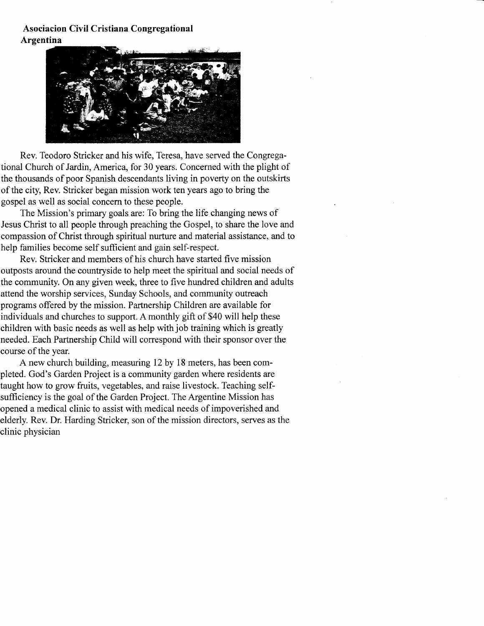### Asociacion Civil Cristiana Congregational Argentina



Rev. Teodoro Stricker and his wife, Teresa, have served the Congregational Church of Jardin, America, for 30 years. Concerned with the plight of the thousands of poor Spanish descendants living in poverty on the outskirts of the city, Rev. Stricker began mission work ten years ago to bring the gospel as well as social concern to these people.

The Mission's primary goals are: To bring the life changing news of Jesus Christ to all people through preaching the Gospel, to share the love and compassion of Christ through spiritual nurture and material assistance, and to help families become self sufficient and gain self-respect.

Rev. Stricker and members of his church have started five mission outposts around the countryside to help meet the spiritual and social needs of the community. On any given week, three to five hundred children and adults attend the worship services, Sunday Schools, and community outreach programs offered by the mission. Partnership Children are available for individuals and churches to support. A monthly gift of \$40 will help these children with basic needs as well as help with job training which is greatly needed. Each Partnership Child will correspond with their sponsor over the course of the year.

A new church building, measuring 12 by 18 meters, has been completed. God's Garden Project is a community garden where residents are taught how to grow fruits, vegetables, and raise livestock. Teaching selfsufficiency is the goal of the Garden Project. The Argentine Mission has opened a medical clinic to assist with medical needs of impoverished and elderly. Rev. Dr. Harding Stricker, son of the mission directors, serves as the clinic physician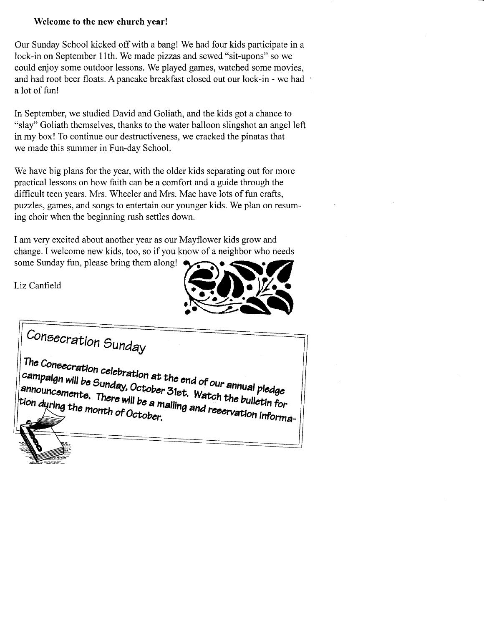### Welcome to the new church year!

Our Sunday School kicked off with a bang! We had four kids participate in a lock-in on September 11th. We made pizzas and sewed "sit-upons" so we could enjoy some outdoor lessons. We played games, watched some movies, and had root beer floats. A pancake breakfast closed out our lock-in - we had a lot of funl

In September, we studied David and Goliath, and the kids got a chance to "slay" Goliath themselves, thanks to the water balloon slingshot an angel left in my box! To continue our destructiveness, we cracked the pinatas that we made this summer in Fun-day School.

We have big plans for the year, with the older kids separating out for more practical lessons on how faith can be a comfort and a guide through the difficult teen years. Mrs. Wheeler and Mrs. Mac have lots of fun crafts, puzzles, games, and songs to entertain our younger kids. We plan on resuming choir when the beginning rush settles down.

I am very excited about another year as our Mayflower kids grow and change. I welcome new kids, too, so if you know of a neighbor who needs some Sunday fun, please bring them along!

Liz Canfield



Consecration Sunday The Consecration celebration at the end of our annual piedge<br>campaign will be Sunday, October 31st. Watch the bullaries campaign will be Sunday, October 31st. Watch the bulletin for<br>announcements. There will be a mailing and reservation of the bulletin for announcements. There will be a mailing and reservation information during the month of October. tion during the month of October.